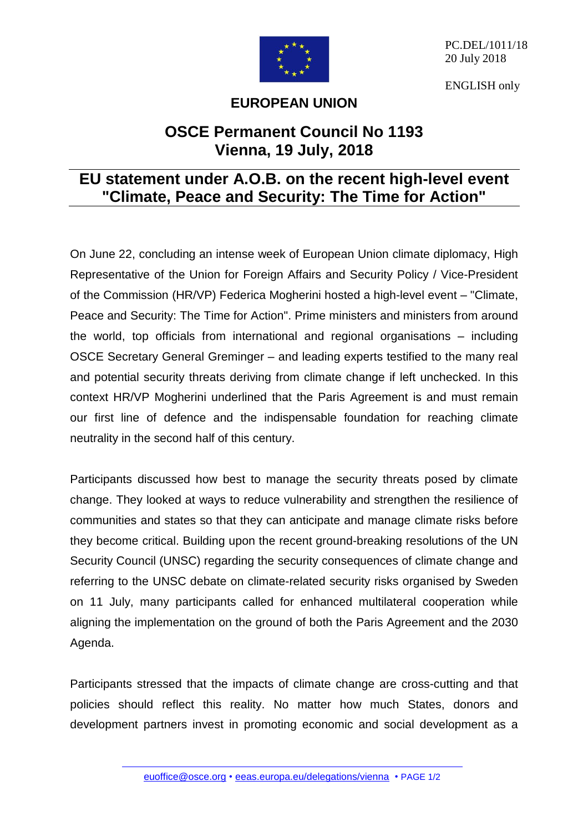

PC.DEL/1011/18 20 July 2018

ENGLISH only

## **EUROPEAN UNION**

## **OSCE Permanent Council No 1193 Vienna, 19 July, 2018**

## **EU statement under A.O.B. on the recent high-level event "Climate, Peace and Security: The Time for Action"**

On June 22, concluding an intense week of European Union climate diplomacy, High Representative of the Union for Foreign Affairs and Security Policy / Vice-President of the Commission (HR/VP) Federica Mogherini hosted a high-level event – "Climate, Peace and Security: The Time for Action". Prime ministers and ministers from around the world, top officials from international and regional organisations – including OSCE Secretary General Greminger – and leading experts testified to the many real and potential security threats deriving from climate change if left unchecked. In this context HR/VP Mogherini underlined that the Paris Agreement is and must remain our first line of defence and the indispensable foundation for reaching climate neutrality in the second half of this century.

Participants discussed how best to manage the security threats posed by climate change. They looked at ways to reduce vulnerability and strengthen the resilience of communities and states so that they can anticipate and manage climate risks before they become critical. Building upon the recent ground-breaking resolutions of the UN Security Council (UNSC) regarding the security consequences of climate change and referring to the UNSC debate on climate-related security risks organised by Sweden on 11 July, many participants called for enhanced multilateral cooperation while aligning the implementation on the ground of both the Paris Agreement and the 2030 Agenda.

Participants stressed that the impacts of climate change are cross-cutting and that policies should reflect this reality. No matter how much States, donors and development partners invest in promoting economic and social development as a

[euoffice@osce.org](mailto:euoffice@osce.org) • [eeas.europa.eu/delegations/vienna](http://eeas.europa.eu/delegations/vienna) • PAGE 1/2